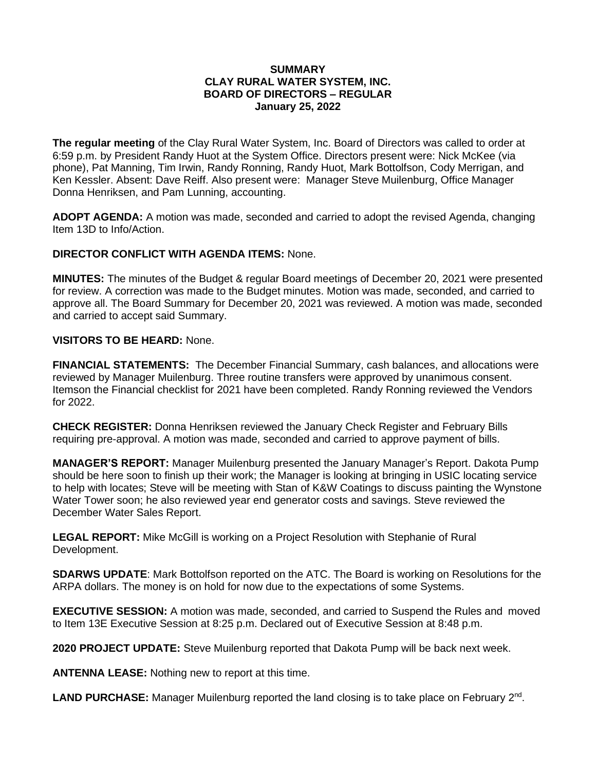## **SUMMARY CLAY RURAL WATER SYSTEM, INC. BOARD OF DIRECTORS – REGULAR January 25, 2022**

**The regular meeting** of the Clay Rural Water System, Inc. Board of Directors was called to order at 6:59 p.m. by President Randy Huot at the System Office. Directors present were: Nick McKee (via phone), Pat Manning, Tim Irwin, Randy Ronning, Randy Huot, Mark Bottolfson, Cody Merrigan, and Ken Kessler. Absent: Dave Reiff. Also present were: Manager Steve Muilenburg, Office Manager Donna Henriksen, and Pam Lunning, accounting.

**ADOPT AGENDA:** A motion was made, seconded and carried to adopt the revised Agenda, changing Item 13D to Info/Action.

## **DIRECTOR CONFLICT WITH AGENDA ITEMS:** None.

**MINUTES:** The minutes of the Budget & regular Board meetings of December 20, 2021 were presented for review. A correction was made to the Budget minutes. Motion was made, seconded, and carried to approve all. The Board Summary for December 20, 2021 was reviewed. A motion was made, seconded and carried to accept said Summary.

## **VISITORS TO BE HEARD:** None.

**FINANCIAL STATEMENTS:** The December Financial Summary, cash balances, and allocations were reviewed by Manager Muilenburg. Three routine transfers were approved by unanimous consent. Itemson the Financial checklist for 2021 have been completed. Randy Ronning reviewed the Vendors for 2022.

**CHECK REGISTER:** Donna Henriksen reviewed the January Check Register and February Bills requiring pre-approval. A motion was made, seconded and carried to approve payment of bills.

**MANAGER'S REPORT:** Manager Muilenburg presented the January Manager's Report. Dakota Pump should be here soon to finish up their work; the Manager is looking at bringing in USIC locating service to help with locates; Steve will be meeting with Stan of K&W Coatings to discuss painting the Wynstone Water Tower soon; he also reviewed year end generator costs and savings. Steve reviewed the December Water Sales Report.

**LEGAL REPORT:** Mike McGill is working on a Project Resolution with Stephanie of Rural Development.

**SDARWS UPDATE**: Mark Bottolfson reported on the ATC. The Board is working on Resolutions for the ARPA dollars. The money is on hold for now due to the expectations of some Systems.

**EXECUTIVE SESSION:** A motion was made, seconded, and carried to Suspend the Rules and moved to Item 13E Executive Session at 8:25 p.m. Declared out of Executive Session at 8:48 p.m.

**2020 PROJECT UPDATE:** Steve Muilenburg reported that Dakota Pump will be back next week.

**ANTENNA LEASE:** Nothing new to report at this time.

LAND PURCHASE: Manager Muilenburg reported the land closing is to take place on February 2<sup>nd</sup>.